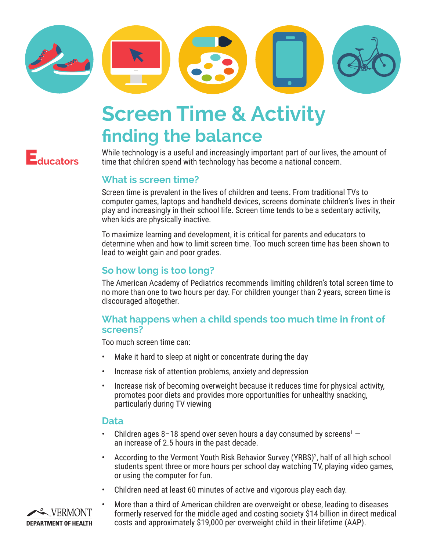

# **Screen Time & Activity finding the balance**

E**ducators**

While technology is a useful and increasingly important part of our lives, the amount of time that children spend with technology has become a national concern.

# **What is screen time?**

Screen time is prevalent in the lives of children and teens. From traditional TVs to computer games, laptops and handheld devices, screens dominate children's lives in their play and increasingly in their school life. Screen time tends to be a sedentary activity, when kids are physically inactive.

To maximize learning and development, it is critical for parents and educators to determine when and how to limit screen time. Too much screen time has been shown to lead to weight gain and poor grades.

# **So how long is too long?**

The American Academy of Pediatrics recommends limiting children's total screen time to no more than one to two hours per day. For children younger than 2 years, screen time is discouraged altogether.

## **What happens when a child spends too much time in front of screens?**

Too much screen time can:

- Make it hard to sleep at night or concentrate during the day
- Increase risk of attention problems, anxiety and depression
- Increase risk of becoming overweight because it reduces time for physical activity, promotes poor diets and provides more opportunities for unhealthy snacking, particularly during TV viewing

### **Data**

- Children ages 8–18 spend over seven hours a day consumed by screens<sup>1</sup>  $$ an increase of 2.5 hours in the past decade.
- According to the Vermont Youth Risk Behavior Survey (YRBS)<sup>2</sup>, half of all high school students spent three or more hours per school day watching TV, playing video games, or using the computer for fun.
- • Children need at least 60 minutes of active and vigorous play each day.



More than a third of American children are overweight or obese, leading to diseases formerly reserved for the middle aged and costing society \$14 billion in direct medical costs and approximately \$19,000 per overweight child in their lifetime (AAP).